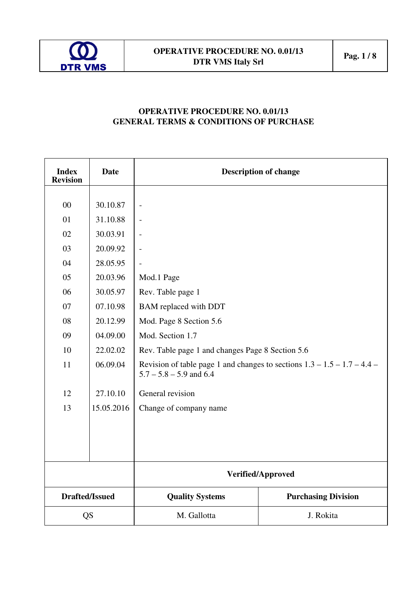

# **OPERATIVE PROCEDURE NO. 0.01/13 GENERAL TERMS & CONDITIONS OF PURCHASE**

| <b>Index</b><br><b>Revision</b> | <b>Date</b> | <b>Description of change</b>                                                                            |                            |  |
|---------------------------------|-------------|---------------------------------------------------------------------------------------------------------|----------------------------|--|
|                                 |             |                                                                                                         |                            |  |
| 00                              | 30.10.87    | $\overline{\phantom{0}}$                                                                                |                            |  |
| 01                              | 31.10.88    | $\overline{a}$                                                                                          |                            |  |
| 02                              | 30.03.91    |                                                                                                         |                            |  |
| 03                              | 20.09.92    | $\overline{\phantom{a}}$                                                                                |                            |  |
| 04                              | 28.05.95    |                                                                                                         |                            |  |
| 05                              | 20.03.96    | Mod.1 Page                                                                                              |                            |  |
| 06                              | 30.05.97    | Rev. Table page 1                                                                                       |                            |  |
| 07                              | 07.10.98    | <b>BAM</b> replaced with DDT                                                                            |                            |  |
| 08                              | 20.12.99    | Mod. Page 8 Section 5.6                                                                                 |                            |  |
| 09                              | 04.09.00    | Mod. Section 1.7                                                                                        |                            |  |
| 10                              | 22.02.02    | Rev. Table page 1 and changes Page 8 Section 5.6                                                        |                            |  |
| 11                              | 06.09.04    | Revision of table page 1 and changes to sections $1.3 - 1.5 - 1.7 - 4.4 -$<br>$5.7 - 5.8 - 5.9$ and 6.4 |                            |  |
| 12                              | 27.10.10    | General revision                                                                                        |                            |  |
| 13                              | 15.05.2016  | Change of company name                                                                                  |                            |  |
|                                 |             |                                                                                                         |                            |  |
|                                 |             |                                                                                                         |                            |  |
|                                 |             |                                                                                                         |                            |  |
|                                 |             | Verified/Approved                                                                                       |                            |  |
| <b>Drafted/Issued</b>           |             | <b>Quality Systems</b>                                                                                  | <b>Purchasing Division</b> |  |
| <b>QS</b>                       |             | M. Gallotta                                                                                             | J. Rokita                  |  |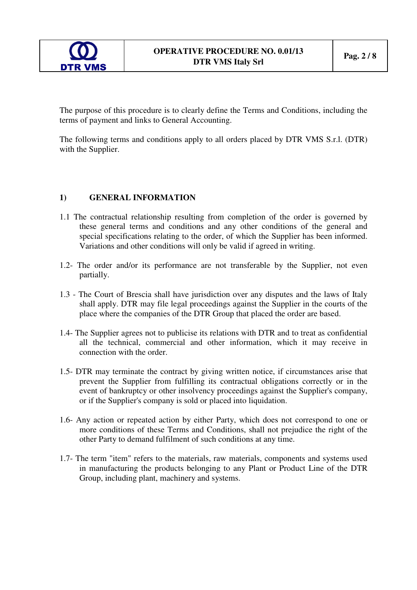

The purpose of this procedure is to clearly define the Terms and Conditions, including the terms of payment and links to General Accounting.

The following terms and conditions apply to all orders placed by DTR VMS S.r.l. (DTR) with the Supplier.

### **1) GENERAL INFORMATION**

- 1.1 The contractual relationship resulting from completion of the order is governed by these general terms and conditions and any other conditions of the general and special specifications relating to the order, of which the Supplier has been informed. Variations and other conditions will only be valid if agreed in writing.
- 1.2- The order and/or its performance are not transferable by the Supplier, not even partially.
- 1.3 The Court of Brescia shall have jurisdiction over any disputes and the laws of Italy shall apply. DTR may file legal proceedings against the Supplier in the courts of the place where the companies of the DTR Group that placed the order are based.
- 1.4- The Supplier agrees not to publicise its relations with DTR and to treat as confidential all the technical, commercial and other information, which it may receive in connection with the order.
- 1.5- DTR may terminate the contract by giving written notice, if circumstances arise that prevent the Supplier from fulfilling its contractual obligations correctly or in the event of bankruptcy or other insolvency proceedings against the Supplier's company, or if the Supplier's company is sold or placed into liquidation.
- 1.6- Any action or repeated action by either Party, which does not correspond to one or more conditions of these Terms and Conditions, shall not prejudice the right of the other Party to demand fulfilment of such conditions at any time.
- 1.7- The term "item" refers to the materials, raw materials, components and systems used in manufacturing the products belonging to any Plant or Product Line of the DTR Group, including plant, machinery and systems.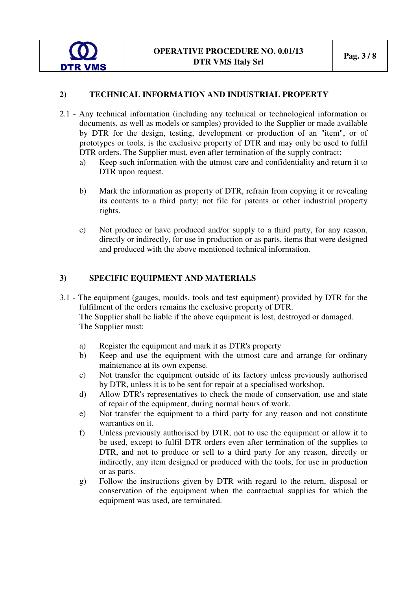

# **2) TECHNICAL INFORMATION AND INDUSTRIAL PROPERTY**

- 2.1 Any technical information (including any technical or technological information or documents, as well as models or samples) provided to the Supplier or made available by DTR for the design, testing, development or production of an "item", or of prototypes or tools, is the exclusive property of DTR and may only be used to fulfil DTR orders. The Supplier must, even after termination of the supply contract:
	- a) Keep such information with the utmost care and confidentiality and return it to DTR upon request.
	- b) Mark the information as property of DTR, refrain from copying it or revealing its contents to a third party; not file for patents or other industrial property rights.
	- c) Not produce or have produced and/or supply to a third party, for any reason, directly or indirectly, for use in production or as parts, items that were designed and produced with the above mentioned technical information.

## **3) SPECIFIC EQUIPMENT AND MATERIALS**

- 3.1 The equipment (gauges, moulds, tools and test equipment) provided by DTR for the fulfilment of the orders remains the exclusive property of DTR. The Supplier shall be liable if the above equipment is lost, destroyed or damaged. The Supplier must:
	- a) Register the equipment and mark it as DTR's property
	- b) Keep and use the equipment with the utmost care and arrange for ordinary maintenance at its own expense.
	- c) Not transfer the equipment outside of its factory unless previously authorised by DTR, unless it is to be sent for repair at a specialised workshop.
	- d) Allow DTR's representatives to check the mode of conservation, use and state of repair of the equipment, during normal hours of work.
	- e) Not transfer the equipment to a third party for any reason and not constitute warranties on it.
	- f) Unless previously authorised by DTR, not to use the equipment or allow it to be used, except to fulfil DTR orders even after termination of the supplies to DTR, and not to produce or sell to a third party for any reason, directly or indirectly, any item designed or produced with the tools, for use in production or as parts.
	- g) Follow the instructions given by DTR with regard to the return, disposal or conservation of the equipment when the contractual supplies for which the equipment was used, are terminated.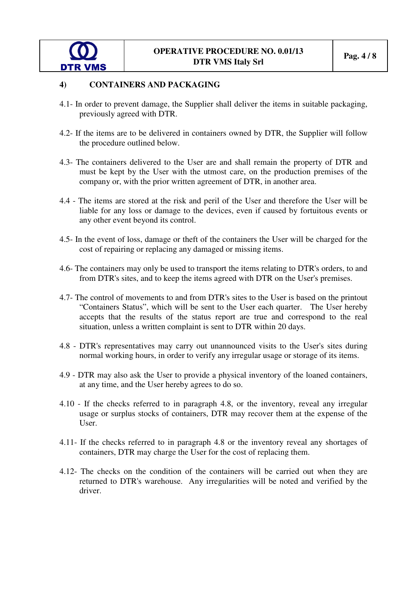

#### **4) CONTAINERS AND PACKAGING**

- 4.1- In order to prevent damage, the Supplier shall deliver the items in suitable packaging, previously agreed with DTR.
- 4.2- If the items are to be delivered in containers owned by DTR, the Supplier will follow the procedure outlined below.
- 4.3- The containers delivered to the User are and shall remain the property of DTR and must be kept by the User with the utmost care, on the production premises of the company or, with the prior written agreement of DTR, in another area.
- 4.4 The items are stored at the risk and peril of the User and therefore the User will be liable for any loss or damage to the devices, even if caused by fortuitous events or any other event beyond its control.
- 4.5- In the event of loss, damage or theft of the containers the User will be charged for the cost of repairing or replacing any damaged or missing items.
- 4.6- The containers may only be used to transport the items relating to DTR's orders, to and from DTR's sites, and to keep the items agreed with DTR on the User's premises.
- 4.7- The control of movements to and from DTR's sites to the User is based on the printout "Containers Status", which will be sent to the User each quarter. The User hereby accepts that the results of the status report are true and correspond to the real situation, unless a written complaint is sent to DTR within 20 days.
- 4.8 DTR's representatives may carry out unannounced visits to the User's sites during normal working hours, in order to verify any irregular usage or storage of its items.
- 4.9 DTR may also ask the User to provide a physical inventory of the loaned containers, at any time, and the User hereby agrees to do so.
- 4.10 If the checks referred to in paragraph 4.8, or the inventory, reveal any irregular usage or surplus stocks of containers, DTR may recover them at the expense of the User.
- 4.11- If the checks referred to in paragraph 4.8 or the inventory reveal any shortages of containers, DTR may charge the User for the cost of replacing them.
- 4.12- The checks on the condition of the containers will be carried out when they are returned to DTR's warehouse. Any irregularities will be noted and verified by the driver.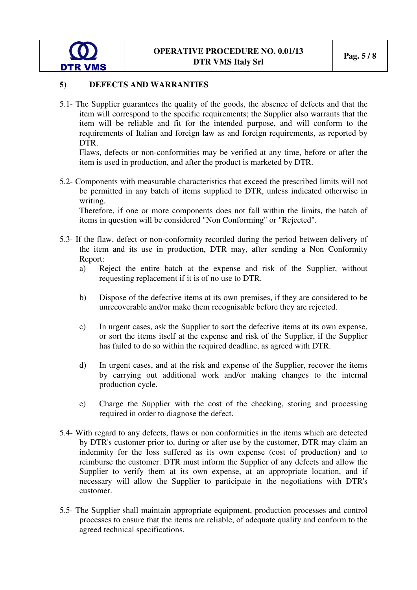

#### **5) DEFECTS AND WARRANTIES**

5.1- The Supplier guarantees the quality of the goods, the absence of defects and that the item will correspond to the specific requirements; the Supplier also warrants that the item will be reliable and fit for the intended purpose, and will conform to the requirements of Italian and foreign law as and foreign requirements, as reported by DTR.

Flaws, defects or non-conformities may be verified at any time, before or after the item is used in production, and after the product is marketed by DTR.

5.2- Components with measurable characteristics that exceed the prescribed limits will not be permitted in any batch of items supplied to DTR, unless indicated otherwise in writing.

Therefore, if one or more components does not fall within the limits, the batch of items in question will be considered "Non Conforming" or "Rejected".

- 5.3- If the flaw, defect or non-conformity recorded during the period between delivery of the item and its use in production, DTR may, after sending a Non Conformity Report:
	- a) Reject the entire batch at the expense and risk of the Supplier, without requesting replacement if it is of no use to DTR.
	- b) Dispose of the defective items at its own premises, if they are considered to be unrecoverable and/or make them recognisable before they are rejected.
	- c) In urgent cases, ask the Supplier to sort the defective items at its own expense, or sort the items itself at the expense and risk of the Supplier, if the Supplier has failed to do so within the required deadline, as agreed with DTR.
	- d) In urgent cases, and at the risk and expense of the Supplier, recover the items by carrying out additional work and/or making changes to the internal production cycle.
	- e) Charge the Supplier with the cost of the checking, storing and processing required in order to diagnose the defect.
- 5.4- With regard to any defects, flaws or non conformities in the items which are detected by DTR's customer prior to, during or after use by the customer, DTR may claim an indemnity for the loss suffered as its own expense (cost of production) and to reimburse the customer. DTR must inform the Supplier of any defects and allow the Supplier to verify them at its own expense, at an appropriate location, and if necessary will allow the Supplier to participate in the negotiations with DTR's customer.
- 5.5- The Supplier shall maintain appropriate equipment, production processes and control processes to ensure that the items are reliable, of adequate quality and conform to the agreed technical specifications.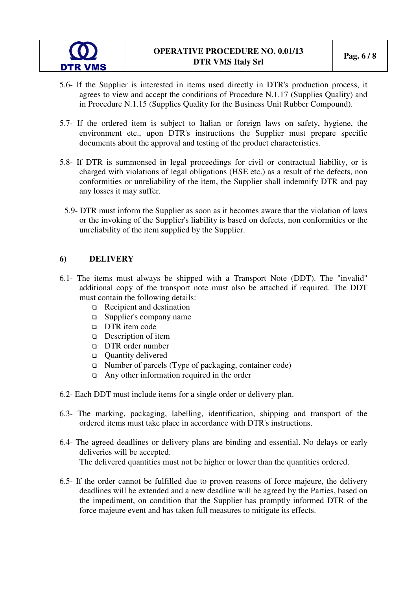- 5.6- If the Supplier is interested in items used directly in DTR's production process, it agrees to view and accept the conditions of Procedure N.1.17 (Supplies Quality) and in Procedure N.1.15 (Supplies Quality for the Business Unit Rubber Compound).
- 5.7- If the ordered item is subject to Italian or foreign laws on safety, hygiene, the environment etc., upon DTR's instructions the Supplier must prepare specific documents about the approval and testing of the product characteristics.
- 5.8- If DTR is summonsed in legal proceedings for civil or contractual liability, or is charged with violations of legal obligations (HSE etc.) as a result of the defects, non conformities or unreliability of the item, the Supplier shall indemnify DTR and pay any losses it may suffer.
- 5.9- DTR must inform the Supplier as soon as it becomes aware that the violation of laws or the invoking of the Supplier's liability is based on defects, non conformities or the unreliability of the item supplied by the Supplier.

### **6) DELIVERY**

**DTR VMS** 

- 6.1- The items must always be shipped with a Transport Note (DDT). The "invalid" additional copy of the transport note must also be attached if required. The DDT must contain the following details:
	- Recipient and destination
	- Supplier's company name
	- $\Box$  DTR item code
	- □ Description of item
	- DTR order number
	- □ Ouantity delivered
	- $\Box$  Number of parcels (Type of packaging, container code)
	- $\Box$  Any other information required in the order
- 6.2- Each DDT must include items for a single order or delivery plan.
- 6.3- The marking, packaging, labelling, identification, shipping and transport of the ordered items must take place in accordance with DTR's instructions.
- 6.4- The agreed deadlines or delivery plans are binding and essential. No delays or early deliveries will be accepted. The delivered quantities must not be higher or lower than the quantities ordered.
- 6.5- If the order cannot be fulfilled due to proven reasons of force majeure, the delivery deadlines will be extended and a new deadline will be agreed by the Parties, based on the impediment, on condition that the Supplier has promptly informed DTR of the force majeure event and has taken full measures to mitigate its effects.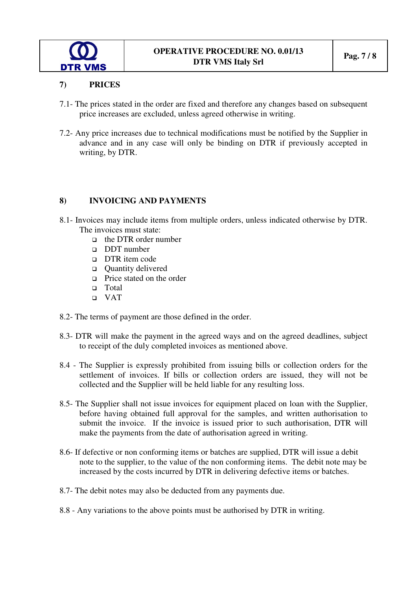

### **7) PRICES**

- 7.1- The prices stated in the order are fixed and therefore any changes based on subsequent price increases are excluded, unless agreed otherwise in writing.
- 7.2- Any price increases due to technical modifications must be notified by the Supplier in advance and in any case will only be binding on DTR if previously accepted in writing, by DTR.

### **8) INVOICING AND PAYMENTS**

- 8.1- Invoices may include items from multiple orders, unless indicated otherwise by DTR. The invoices must state:
	- the DTR order number
	- DDT number
	- DTR item code
	- **Quantity delivered**
	- **Price stated on the order**
	- □ Total
	- VAT
- 8.2- The terms of payment are those defined in the order.
- 8.3- DTR will make the payment in the agreed ways and on the agreed deadlines, subject to receipt of the duly completed invoices as mentioned above.
- 8.4 The Supplier is expressly prohibited from issuing bills or collection orders for the settlement of invoices. If bills or collection orders are issued, they will not be collected and the Supplier will be held liable for any resulting loss.
- 8.5- The Supplier shall not issue invoices for equipment placed on loan with the Supplier, before having obtained full approval for the samples, and written authorisation to submit the invoice. If the invoice is issued prior to such authorisation, DTR will make the payments from the date of authorisation agreed in writing.
- 8.6- If defective or non conforming items or batches are supplied, DTR will issue a debit note to the supplier, to the value of the non conforming items. The debit note may be increased by the costs incurred by DTR in delivering defective items or batches.
- 8.7- The debit notes may also be deducted from any payments due.
- 8.8 Any variations to the above points must be authorised by DTR in writing.